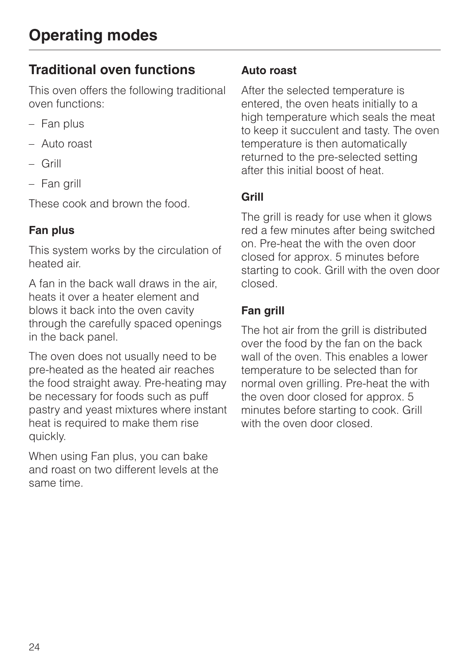## **Traditional oven functions**

This oven offers the following traditional oven functions:

- Fan plus
- Auto roast
- Grill
- Fan grill

These cook and brown the food.

## **Fan plus**

This system works by the circulation of heated air.

A fan in the back wall draws in the air, heats it over a heater element and blows it back into the oven cavity through the carefully spaced openings in the back panel.

The oven does not usually need to be pre-heated as the heated air reaches the food straight away. Pre-heating may be necessary for foods such as puff pastry and yeast mixtures where instant heat is required to make them rise quickly.

When using Fan plus, you can bake and roast on two different levels at the same time.

### **Auto roast**

After the selected temperature is entered, the oven heats initially to a high temperature which seals the meat to keep it succulent and tasty. The oven temperature is then automatically returned to the pre-selected setting after this initial boost of heat.

## **Grill**

The grill is ready for use when it glows red a few minutes after being switched on. Pre-heat the with the oven door closed for approx. 5 minutes before starting to cook. Grill with the oven door closed.

## **Fan grill**

The hot air from the grill is distributed over the food by the fan on the back wall of the oven. This enables a lower temperature to be selected than for normal oven grilling. Pre-heat the with the oven door closed for approx. 5 minutes before starting to cook. Grill with the oven door closed.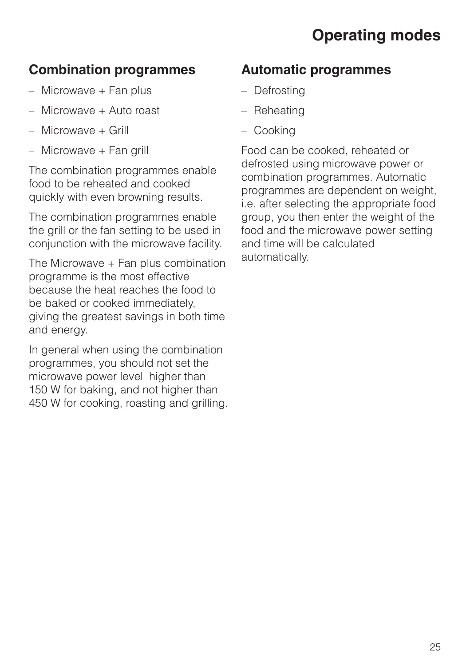## **Combination programmes**

- Microwave + Fan plus
- Microwave + Auto roast
- Microwave + Grill
- Microwave + Fan grill

The combination programmes enable food to be reheated and cooked quickly with even browning results.

The combination programmes enable the grill or the fan setting to be used in conjunction with the microwave facility.

The Microwave + Fan plus combination programme is the most effective because the heat reaches the food to be baked or cooked immediately, giving the greatest savings in both time and energy.

In general when using the combination programmes, you should not set the microwave power level higher than 150 W for baking, and not higher than 450 W for cooking, roasting and grilling.

## **Automatic programmes**

- Defrosting
- Reheating
- Cooking

Food can be cooked, reheated or defrosted using microwave power or combination programmes. Automatic programmes are dependent on weight, i.e. after selecting the appropriate food group, you then enter the weight of the food and the microwave power setting and time will be calculated automatically.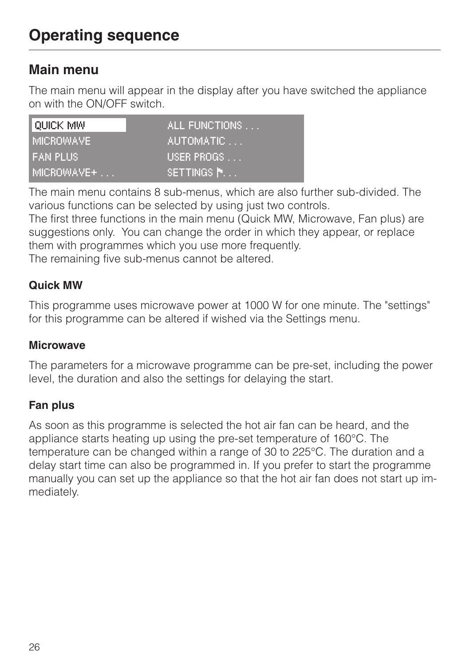# **Operating sequence**

## **Main menu**

The main menu will appear in the display after you have switched the appliance on with the ON/OFF switch.

| LOUICK MW        | ALL FUNCTIONS |
|------------------|---------------|
| <b>MICROWAVE</b> | 'AUTOMATIC    |
| <b>FAN PLUS</b>  | USER PROGS    |
| MICROWAVE+       | SETTINGS N.   |

The main menu contains 8 sub-menus, which are also further sub-divided. The various functions can be selected by using just two controls.

The first three functions in the main menu (Quick MW, Microwave, Fan plus) are suggestions only. You can change the order in which they appear, or replace them with programmes which you use more frequently.

The remaining five sub-menus cannot be altered.

#### **Quick MW**

This programme uses microwave power at 1000 W for one minute. The "settings" for this programme can be altered if wished via the Settings menu.

#### **Microwave**

The parameters for a microwave programme can be pre-set, including the power level, the duration and also the settings for delaying the start.

### **Fan plus**

As soon as this programme is selected the hot air fan can be heard, and the appliance starts heating up using the pre-set temperature of 160°C. The temperature can be changed within a range of 30 to 225°C. The duration and a delay start time can also be programmed in. If you prefer to start the programme manually you can set up the appliance so that the hot air fan does not start up immediately.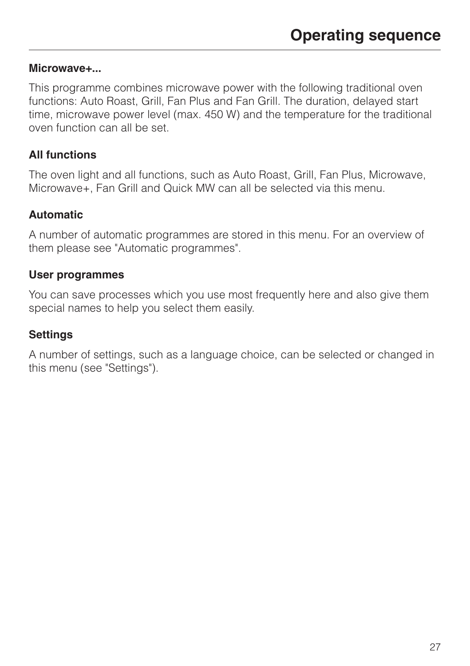#### **Microwave+...**

This programme combines microwave power with the following traditional oven functions: Auto Roast, Grill, Fan Plus and Fan Grill. The duration, delayed start time, microwave power level (max. 450 W) and the temperature for the traditional oven function can all be set.

#### **All functions**

The oven light and all functions, such as Auto Roast, Grill, Fan Plus, Microwave, Microwave+, Fan Grill and Quick MW can all be selected via this menu.

#### **Automatic**

A number of automatic programmes are stored in this menu. For an overview of them please see "Automatic programmes".

#### **User programmes**

You can save processes which you use most frequently here and also give them special names to help you select them easily.

#### **Settings**

A number of settings, such as a language choice, can be selected or changed in this menu (see "Settings").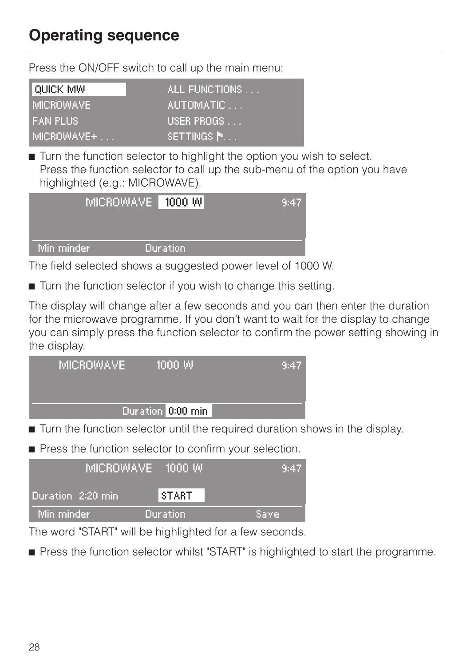# **Operating sequence**

Press the ON/OFF switch to call up the main menu:

| I OUICK MW   | ALL FUNCTIONS     |
|--------------|-------------------|
| : MICROWAVE  | <u> AUTOMATIC</u> |
| I FAN PLUS.  | USER PROGS        |
| I MICROWAVE+ | ISETTINGS N.      |

 $\blacksquare$  Turn the function selector to highlight the option you wish to select. Press the function selector to call up the sub-menu of the option you have highlighted (e.g.: MICROWAVE).



The field selected shows a suggested power level of 1000 W.

■ Turn the function selector if you wish to change this setting.

The display will change after a few seconds and you can then enter the duration for the microwave programme. If you don't want to wait for the display to change you can simply press the function selector to confirm the power setting showing in the display.

| MICROWAVE <sup>1</sup> | 1000 W            | '9:47. |
|------------------------|-------------------|--------|
|                        | Duration 0:00 min |        |
|                        |                   |        |

**Turn the function selector until the required duration shows in the display.** 

**Press the function selector to confirm your selection.** 

|                    | MICROWAVE 1000 W | 9:47  |
|--------------------|------------------|-------|
| Duration 2:20 min. | <b>START</b>     |       |
| Min minder         | Duration         | Save. |

The word "START" will be highlighted for a few seconds.

**• Press the function selector whilst "START" is highlighted to start the programme.**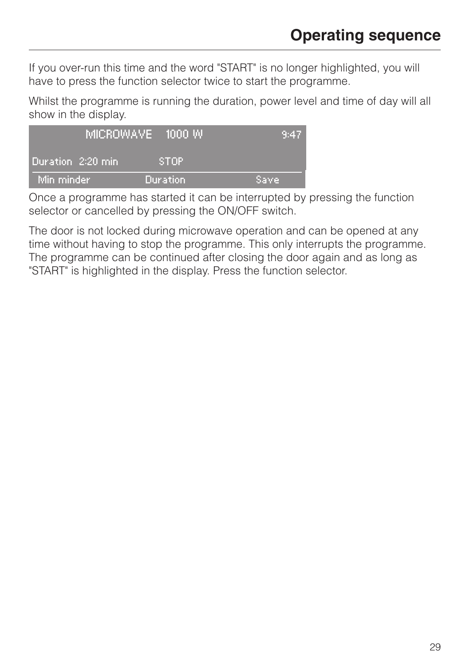If you over-run this time and the word "START" is no longer highlighted, you will have to press the function selector twice to start the programme.

Whilst the programme is running the duration, power level and time of day will all show in the display.

|                     | MICROWAVE 1000 W | 9:47 |
|---------------------|------------------|------|
| Duration: 2:20 min. | ISTOP.           |      |
| Min minder          | Duration.        | Save |

Once a programme has started it can be interrupted by pressing the function selector or cancelled by pressing the ON/OFF switch.

The door is not locked during microwave operation and can be opened at any time without having to stop the programme. This only interrupts the programme. The programme can be continued after closing the door again and as long as "START" is highlighted in the display. Press the function selector.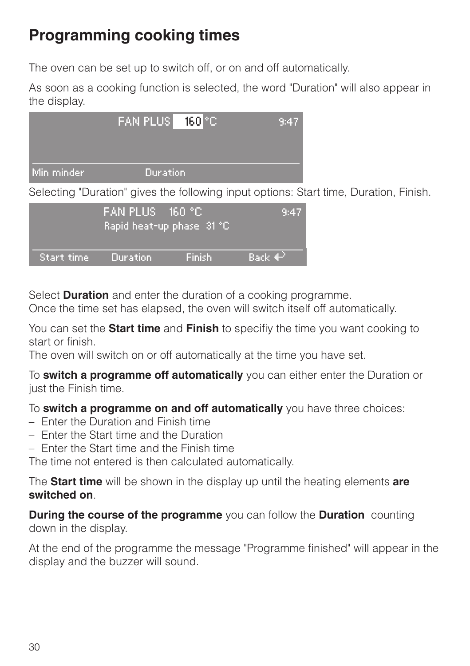# **Programming cooking times**

The oven can be set up to switch off, or on and off automatically.

As soon as a cooking function is selected, the word "Duration" will also appear in the display.



Selecting "Duration" gives the following input options: Start time, Duration, Finish.

|              | (FAN PLUS = 160 °C) | Rapid heat-up phase 31 °C, | 9:47                   |
|--------------|---------------------|----------------------------|------------------------|
| (Start time) | <b>Duration</b>     | <b>Finish</b>              | Back $\leftrightarrow$ |

Select **Duration** and enter the duration of a cooking programme.

Once the time set has elapsed, the oven will switch itself off automatically.

You can set the **Start time** and **Finish** to specifiy the time you want cooking to start or finish.

The oven will switch on or off automatically at the time you have set.

To **switch a programme off automatically** you can either enter the Duration or just the Finish time.

To **switch a programme on and off automatically** you have three choices:

- Enter the Duration and Finish time
- Enter the Start time and the Duration
- Enter the Start time and the Finish time

The time not entered is then calculated automatically.

The **Start time** will be shown in the display up until the heating elements **are switched on**.

**During the course of the programme** you can follow the **Duration** counting down in the display.

At the end of the programme the message "Programme finished" will appear in the display and the buzzer will sound.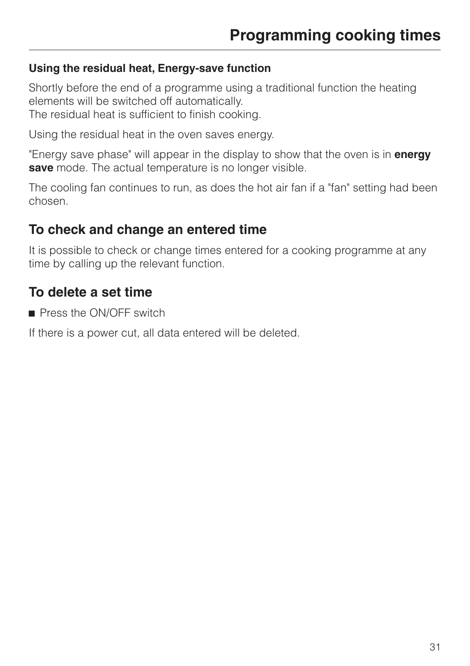#### **Using the residual heat, Energy-save function**

Shortly before the end of a programme using a traditional function the heating elements will be switched off automatically. The residual heat is sufficient to finish cooking.

Using the residual heat in the oven saves energy.

"Energy save phase" will appear in the display to show that the oven is in **energy save** mode. The actual temperature is no longer visible.

The cooling fan continues to run, as does the hot air fan if a "fan" setting had been chosen.

## **To check and change an entered time**

It is possible to check or change times entered for a cooking programme at any time by calling up the relevant function.

## **To delete a set time**

Press the ON/OFF switch

If there is a power cut, all data entered will be deleted.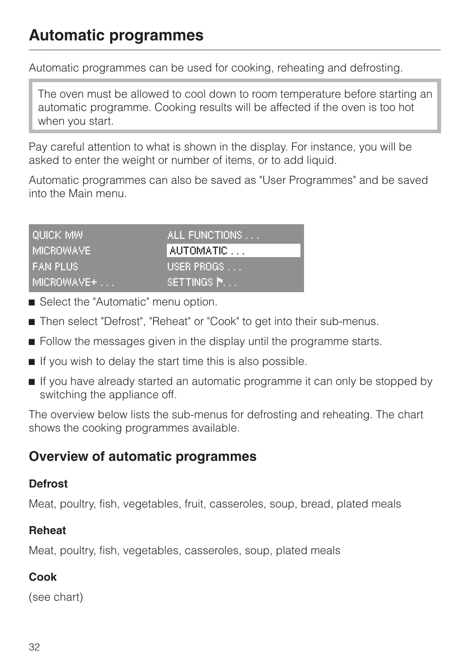# **Automatic programmes**

Automatic programmes can be used for cooking, reheating and defrosting.

The oven must be allowed to cool down to room temperature before starting an automatic programme. Cooking results will be affected if the oven is too hot when you start.

Pay careful attention to what is shown in the display. For instance, you will be asked to enter the weight or number of items, or to add liquid.

Automatic programmes can also be saved as "User Programmes" and be saved into the Main menu.

| I QUICK MW.   | ALL FUNCTIONS |
|---------------|---------------|
| I MICROWAVE I | AUTOMATIC     |
| I FAN PLUS.   | USER PROGS    |
| I MICROWAVE+  | ISETTINGS N.  |

- Select the "Automatic" menu option.
- Then select "Defrost", "Reheat" or "Cook" to get into their sub-menus.
- **Example 3** Follow the messages given in the display until the programme starts.
- $\blacksquare$  If you wish to delay the start time this is also possible.
- **If you have already started an automatic programme it can only be stopped by** switching the appliance off.

The overview below lists the sub-menus for defrosting and reheating. The chart shows the cooking programmes available.

## **Overview of automatic programmes**

### **Defrost**

Meat, poultry, fish, vegetables, fruit, casseroles, soup, bread, plated meals

### **Reheat**

Meat, poultry, fish, vegetables, casseroles, soup, plated meals

## **Cook**

(see chart)